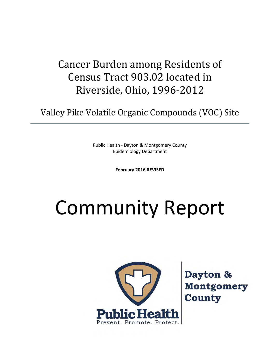# Cancer Burden among Residents of Census Tract 903.02 located in Riverside, Ohio, 1996-2012

Valley Pike Volatile Organic Compounds (VOC) Site

Public Health - Dayton & Montgomery County Epidemiology Department

**February 2016 REVISED**

# Community Report



Dayton & **Montgomery County**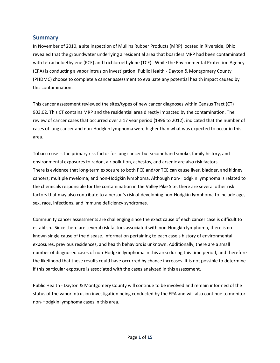#### **Summary**

In November of 2010, a site inspection of Mullins Rubber Products (MRP) located in Riverside, Ohio revealed that the groundwater underlying a residential area that boarders MRP had been contaminated with tetracholoethylene (PCE) and trichloroethylene (TCE). While the Environmental Protection Agency (EPA) is conducting a vapor intrusion investigation, Public Health - Dayton & Montgomery County (PHDMC) choose to complete a cancer assessment to evaluate any potential health impact caused by this contamination.

This cancer assessment reviewed the sites/types of new cancer diagnoses within Census Tract (CT) 903.02. This CT contains MRP and the residential area directly impacted by the contamination. The review of cancer cases that occurred over a 17 year period (1996 to 2012), indicated that the number of cases of lung cancer and non-Hodgkin lymphoma were higher than what was expected to occur in this area.

Tobacco use is the primary risk factor for lung cancer but secondhand smoke, family history, and environmental exposures to radon, air pollution, asbestos, and arsenic are also risk factors. There is evidence that long-term exposure to both PCE and/or TCE can cause liver, bladder, and kidney cancers; multiple myeloma; and non-Hodgkin lymphoma. Although non-Hodgkin lymphoma is related to the chemicals responsible for the contamination in the Valley Pike Site, there are several other risk factors that may also contribute to a person's risk of developing non-Hodgkin lymphoma to include age, sex, race, infections, and immune deficiency syndromes.

Community cancer assessments are challenging since the exact cause of each cancer case is difficult to establish. Since there are several risk factors associated with non-Hodgkin lymphoma, there is no known single cause of the disease. Information pertaining to each case's history of environmental exposures, previous residences, and health behaviors is unknown. Additionally, there are a small number of diagnosed cases of non-Hodgkin lymphoma in this area during this time period, and therefore the likelihood that these results could have occurred by chance increases. It is not possible to determine if this particular exposure is associated with the cases analyzed in this assessment.

Public Health - Dayton & Montgomery County will continue to be involved and remain informed of the status of the vapor intrusion investigation being conducted by the EPA and will also continue to monitor non-Hodgkin lymphoma cases in this area.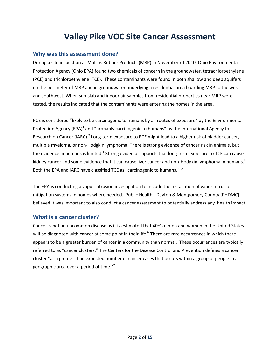## **Valley Pike VOC Site Cancer Assessment**

#### **Why was this assessment done?**

During a site inspection at Mullins Rubber Products (MRP) in November of 2010, Ohio Environmental Protection Agency (Ohio EPA) found two chemicals of concern in the groundwater, tetrachloroethylene (PCE) and trichloroethylene (TCE). These contaminants were found in both shallow and deep aquifers on the perimeter of MRP and in groundwater underlying a residential area boarding MRP to the west and southwest. When sub-slab and indoor air samples from residential properties near MRP were tested, the results indicated that the contaminants were entering the homes in the area.

PCE is considered "likely to be carcinogenic to humans by all routes of exposure" by the Environmental Protection Agency (EPA)<sup>1</sup> and "probably carcinogenic to humans" by the International Agency for Research on Cancer (IARC).<sup>2</sup> Long-term exposure to PCE might lead to a higher risk of bladder cancer, multiple myeloma, or non-Hodgkin lymphoma. There is strong evidence of cancer risk in animals, but the evidence in humans is limited.<sup>3</sup> Strong evidence supports that long-term exposure to TCE can cause kidney cancer and some evidence that it can cause liver cancer and non-Hodgkin lymphoma in humans.<sup>4</sup> Both the EPA and IARC have classified TCE as "carcinogenic to humans."<sup>5,2</sup>

The EPA is conducting a vapor intrusion investigation to include the installation of vapor intrusion mitigation systems in homes where needed. Public Health - Dayton & Montgomery County (PHDMC) believed it was important to also conduct a cancer assessment to potentially address any health impact.

#### **What is a cancer cluster?**

Cancer is not an uncommon disease as it is estimated that 40% of men and women in the United States will be diagnosed with cancer at some point in their life.<sup>6</sup> There are rare occurrences in which there appears to be a greater burden of cancer in a community than normal. These occurrences are typically referred to as "cancer clusters." The Centers for the Disease Control and Prevention defines a cancer cluster "as a greater than expected number of cancer cases that occurs within a group of people in a geographic area over a period of time."<sup>7</sup>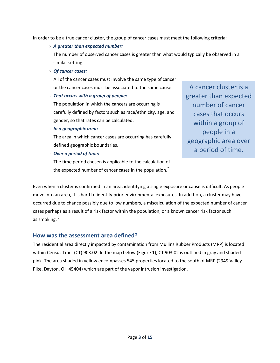In order to be a true cancer cluster, the group of cancer cases must meet the following criteria:

› *A greater than expected number:* 

The number of observed cancer cases is greater than what would typically be observed in a similar setting.

› *Of cancer cases:* 

All of the cancer cases must involve the same type of cancer or the cancer cases must be associated to the same cause.

› *That occurs with a group of people:* 

The population in which the cancers are occurring is carefully defined by factors such as race/ethnicity, age, and gender, so that rates can be calculated.

› *In a geographic area:* 

The area in which cancer cases are occurring has carefully defined geographic boundaries.

› *Over a period of time:* 

The time period chosen is applicable to the calculation of the expected number of cancer cases in the population.<sup>7</sup>

A cancer cluster is a greater than expected number of cancer cases that occurs within a group of people in a geographic area over a period of time.

Even when a cluster is confirmed in an area, identifying a single exposure or cause is difficult. As people move into an area, it is hard to identify prior environmental exposures. In addition, a cluster may have occurred due to chance possibly due to low numbers, a miscalculation of the expected number of cancer cases perhaps as a result of a risk factor within the population, or a known cancer risk factor such as smoking. $<sup>7</sup>$ </sup>

#### **How was the assessment area defined?**

The residential area directly impacted by contamination from Mullins Rubber Products (MRP) is located within Census Tract (CT) 903.02. In the map below (Figure 1), CT 903.02 is outlined in gray and shaded pink. The area shaded in yellow encompasses 545 properties located to the south of MRP (2949 Valley Pike, Dayton, OH 45404) which are part of the vapor intrusion investigation.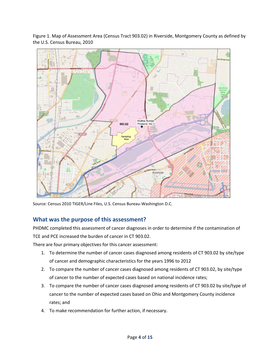

Figure 1. Map of Assessment Area (Census Tract 903.02) in Riverside, Montgomery County as defined by the U.S. Census Bureau, 2010

Source: Census 2010 TIGER/Line Files, U.S. Census Bureau-Washington D.C.

#### **What was the purpose of this assessment?**

PHDMC completed this assessment of cancer diagnoses in order to determine if the contamination of TCE and PCE increased the burden of cancer in CT 903.02.

There are four primary objectives for this cancer assessment:

- 1. To determine the number of cancer cases diagnosed among residents of CT 903.02 by site/type of cancer and demographic characteristics for the years 1996 to 2012
- 2. To compare the number of cancer cases diagnosed among residents of CT 903.02, by site/type of cancer to the number of expected cases based on national incidence rates;
- 3. To compare the number of cancer cases diagnosed among residents of CT 903.02 by site/type of cancer to the number of expected cases based on Ohio and Montgomery County incidence rates; and
- 4. To make recommendation for further action, if necessary.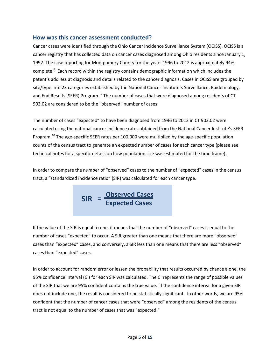#### **How was this cancer assessment conducted?**

Cancer cases were identified through the Ohio Cancer Incidence Surveillance System (OCISS). OCISS is a cancer registry that has collected data on cancer cases diagnosed among Ohio residents since January 1, 1992. The case reporting for Montgomery County for the years 1996 to 2012 is approximately 94% complete.<sup>8</sup> Each record within the registry contains demographic information which includes the patent's address at diagnosis and details related to the cancer diagnosis. Cases in OCISS are grouped by site/type into 23 categories established by the National Cancer Institute's Surveillance, Epidemiology, and End Results (SEER) Program .<sup>9</sup> The number of cases that were diagnosed among residents of CT 903.02 are considered to be the "observed" number of cases.

The number of cases "expected" to have been diagnosed from 1996 to 2012 in CT 903.02 were calculated using the national cancer incidence rates obtained from the National Cancer Institute's SEER Program.<sup>10</sup> The age-specific SEER rates per 100,000 were multiplied by the age-specific population counts of the census tract to generate an expected number of cases for each cancer type (please see technical notes for a specific details on how population size was estimated for the time frame).

In order to compare the number of "observed" cases to the number of "expected" cases in the census tract, a "standardized incidence ratio" (SIR) was calculated for each cancer type.

$$
SIR = \frac{Observed Cases}{Expected Cases}
$$

If the value of the SIR is equal to one, it means that the number of "observed" cases is equal to the number of cases "expected" to occur. A SIR greater than one means that there are more "observed" cases than "expected" cases, and conversely, a SIR less than one means that there are less "observed" cases than "expected" cases.

In order to account for random error or lessen the probability that results occurred by chance alone, the 95% confidence interval (CI) for each SIR was calculated. The CI represents the range of possible values of the SIR that we are 95% confident contains the true value. If the confidence interval for a given SIR does not include one, the result is considered to be statistically significant. In other words, we are 95% confident that the number of cancer cases that were "observed" among the residents of the census tract is not equal to the number of cases that was "expected."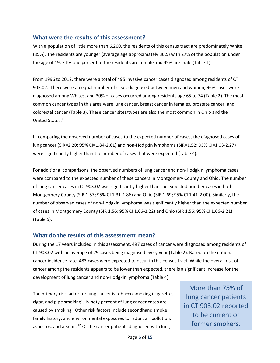#### **What were the results of this assessment?**

With a population of little more than 6,200, the residents of this census tract are predominately White (85%). The residents are younger (average age approximately 36.5) with 27% of the population under the age of 19. Fifty-one percent of the residents are female and 49% are male (Table 1).

From 1996 to 2012, there were a total of 495 invasive cancer cases diagnosed among residents of CT 903.02. There were an equal number of cases diagnosed between men and women, 96% cases were diagnosed among Whites, and 30% of cases occurred among residents age 65 to 74 (Table 2). The most common cancer types in this area were lung cancer, breast cancer in females, prostate cancer, and colorectal cancer (Table 3). These cancer sites/types are also the most common in Ohio and the United States.<sup>11</sup>

In comparing the observed number of cases to the expected number of cases, the diagnosed cases of lung cancer (SIR=2.20; 95% CI=1.84-2.61) and non-Hodgkin lymphoma (SIR=1.52; 95% CI=1.03-2.27) were significantly higher than the number of cases that were expected (Table 4).

For additional comparisons, the observed numbers of lung cancer and non-Hodgkin lymphoma cases were compared to the expected number of these cancers in Montgomery County and Ohio. The number of lung cancer cases in CT 903.02 was significantly higher than the expected number cases in both Montgomery County (SIR 1.57; 95% CI 1.31-1.86) and Ohio (SIR 1.69; 95% CI 1.41-2.00). Similarly, the number of observed cases of non-Hodgkin lymphoma was significantly higher than the expected number of cases in Montgomery County (SIR 1.56; 95% CI 1.06-2.22) and Ohio (SIR 1.56; 95% CI 1.06-2.21) (Table 5).

#### **What do the results of this assessment mean?**

During the 17 years included in this assessment, 497 cases of cancer were diagnosed among residents of CT 903.02 with an average of 29 cases being diagnosed every year (Table 2). Based on the national cancer incidence rate, 483 cases were expected to occur in this census tract. While the overall risk of cancer among the residents appears to be lower than expected, there is a significant increase for the development of lung cancer and non-Hodgkin lymphoma (Table 4).

The primary risk factor for lung cancer is tobacco smoking (cigarette, cigar, and pipe smoking). Ninety percent of lung cancer cases are caused by smoking. Other risk factors include secondhand smoke, family history, and environmental exposures to radon, air pollution, asbestos, and arsenic.<sup>12</sup> Of the cancer patients diagnosed with lung

More than 75% of lung cancer patients in CT 903.02 reported to be current or former smokers.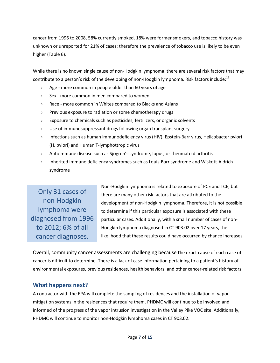cancer from 1996 to 2008, 58% currently smoked, 18% were former smokers, and tobacco history was unknown or unreported for 21% of cases; therefore the prevalence of tobacco use is likely to be even higher (Table 6).

While there is no known single cause of non-Hodgkin lymphoma, there are several risk factors that may contribute to a person's risk of the developing of non-Hodgkin lymphoma. Risk factors include: $13$ 

- › Age more common in people older than 60 years of age
- › Sex more common in men compared to women
- › Race more common in Whites compared to Blacks and Asians
- › Previous exposure to radiation or some chemotherapy drugs
- › Exposure to chemicals such as pesticides, fertilizers, or organic solvents
- › Use of immunosuppressant drugs following organ transplant surgery
- › Infections such as human immunodeficiency virus (HIV), Epstein-Barr virus, Helicobacter pylori (H. pylori) and Human T-lymphottropic virus
- › Autoimmune disease such as Sjögren's syndrome, lupus, or rheumatoid arthritis
- › Inherited immune deficiency syndromes such as Louis-Barr syndrome and Wiskott-Aldrich syndrome

Only 31 cases of non-Hodgkin lymphoma were diagnosed from 1996 to 2012; 6% of all cancer diagnoses.

Non-Hodgkin lymphoma is related to exposure of PCE and TCE, but there are many other risk factors that are attributed to the development of non-Hodgkin lymphoma. Therefore, it is not possible to determine if this particular exposure is associated with these particular cases. Additionally, with a small number of cases of non-Hodgkin lymphoma diagnosed in CT 903.02 over 17 years, the likelihood that these results could have occurred by chance increases.

Overall, community cancer assessments are challenging because the exact cause of each case of cancer is difficult to determine. There is a lack of case information pertaining to a patient's history of environmental exposures, previous residences, health behaviors, and other cancer-related risk factors.

#### **What happens next?**

A contractor with the EPA will complete the sampling of residences and the installation of vapor mitigation systems in the residences that require them. PHDMC will continue to be involved and informed of the progress of the vapor intrusion investigation in the Valley Pike VOC site. Additionally, PHDMC will continue to monitor non-Hodgkin lymphoma cases in CT 903.02.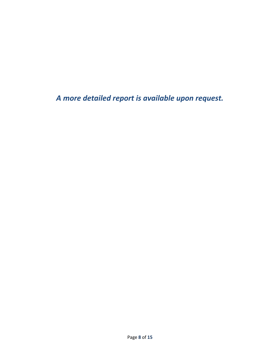*A more detailed report is available upon request.*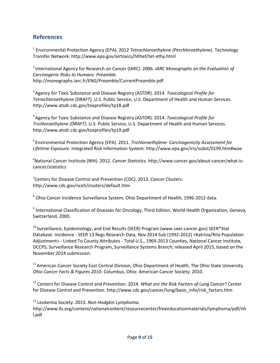#### **References**

1 Environmental Protection Agency (EPA). 2012 *Tetrachloroethylene (Perchloroethylene).* Technology Transfer Network: http://www.epa.gov/airtoxics/hlthef/tet-ethy.html

<sup>2</sup>International Agency for Research on Cancer (IARC). 2006. *IARC Monographs on the Evaluation of Carcinogenic Risks to Humans: Preamble.* http://monographs.iarc.fr/ENG/Preamble/CurrentPreamble.pdf

<sup>3</sup>Agency for Toxic Substance and Disease Registry (ASTDR). 2014. *Toxicological Profile for Tetrachloroethylene (DRAFT).* U.S. Public Service, U.S. Department of Health and Human Services. http://www.atsdr.cdc.gov/toxprofiles/tp18.pdf

<sup>4</sup>Agency for Toxic Substance and Disease Registry (ASTDR). 2014. *Toxicological Profile for Trichloroethylene (DRAFT)*. U.S. Public Service, U.S. Department of Health and Human Services. http://www.atsdr.cdc.gov/toxprofiles/tp19.pdf

<sup>5</sup>Environmental Protection Agency (EPA). 2011. *Trichloroethylene: Carcinogenicity Assessment for Lifetime Exposure*. Integrated Risk Information System: http://www.epa.gov/iris/subst/0199.htm#woe

<sup>6</sup>National Cancer Institute (NIH). 2012. *Cancer Statistics.* http://www.cancer.gov/about-cancer/what-iscancer/statistics

7 Centers for Disease Control and Prevention (CDC). 2013. *Cancer Clusters.* http://www.cdc.gov/nceh/clusters/default.htm

 $^8$  Ohio Cancer Incidence Surveillance System, Ohio Department of Health, 1996-2012 data.

<sup>9</sup> International Classification of Diseases for Oncology, Third Edition. World Health Organization, Geneva, Switzerland, 2000.

<sup>10</sup> Surveillance, Epidemiology, and End Results (SEER) Program (www.seer.cancer.gov) SEER\*Stat Database: Incidence - SEER 13 Regs Research Data, Nov 2014 Sub (1992-2012) <Katrina/Rita Population Adjustment> - Linked To County Attributes - Total U.S., 1969-2013 Counties, National Cancer Institute, DCCPS, Surveillance Research Program, Surveillance Systems Branch, released April 2015, based on the November 2014 submission.

<sup>11</sup> American Cancer Society East Central Division, Ohio Department of Health, The Ohio State University. *Ohio Cancer Facts & Figures 2010*. Columbus, Ohio: American Cancer Society; 2010.

<sup>12</sup> Centers for Disease Control and Prevention. 2014. *What are the Risk Factors of Lung Cancer?* Center for Disease Control and Prevention. http://www.cdc.gov/cancer/lung/basic\_info/risk\_factors.htm

<sup>13</sup> Leukemia Society. 2013. *Non-Hodgkin Lymphoma.*

http://www.lls.org/content/nationalcontent/resourcecenter/freeeducationmaterials/lymphoma/pdf/nh l.pdf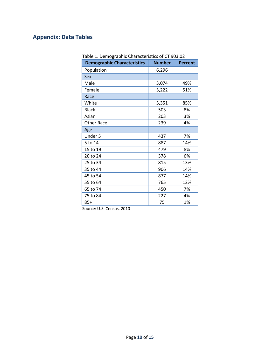### **Appendix: Data Tables**

| <b>Demographic Characteristics</b> | <b>Number</b> | <b>Percent</b> |
|------------------------------------|---------------|----------------|
| Population                         | 6,296         |                |
| Sex                                |               |                |
| Male                               | 3,074         | 49%            |
| Female                             | 3,222         | 51%            |
| Race                               |               |                |
| White                              | 5,351         | 85%            |
| <b>Black</b>                       | 503           | 8%             |
| Asian                              | 203           |                |
| Other Race                         | 239           | 4%             |
| Age                                |               |                |
| Under 5                            | 437           | 7%             |
| 5 to 14                            | 887           | 14%            |
| 15 to 19                           | 479           | 8%             |
| 20 to 24                           | 378           | 6%             |
| 25 to 34                           | 815           | 13%            |
| 35 to 44                           | 906           | 14%            |
| 45 to 54                           | 877           | 14%            |
| 55 to 64                           | 765           | 12%            |
| 65 to 74                           | 450           | 7%             |
| 75 to 84                           | 227           | 4%             |
| $85+$                              | 75            | 1%             |

Table 1. Demographic Characteristics of CT 903.02

Source: U.S. Census, 2010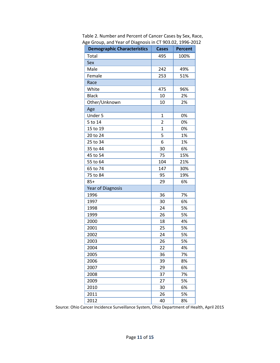| יםי<br>,, oup, u., u., v<br>ייסטיים |                |                |
|-------------------------------------|----------------|----------------|
| <b>Demographic Characteristics</b>  | <b>Cases</b>   | <b>Percent</b> |
| Total                               | 495            | 100%           |
| Sex                                 |                |                |
| Male                                | 242            | 49%            |
| Female                              | 253            | 51%            |
| Race                                |                |                |
| White                               | 475            | 96%            |
| <b>Black</b>                        | 10             | 2%             |
| Other/Unknown                       | 10             | 2%             |
| Age                                 |                |                |
| Under 5                             | $\mathbf 1$    | 0%             |
| 5 to 14                             | $\overline{2}$ | 0%             |
| 15 to 19                            | $\mathbf{1}$   | 0%             |
| 20 to 24                            | 5              | 1%             |
| 25 to 34                            | 6              | 1%             |
| 35 to 44                            | 30             | 6%             |
| 45 to 54                            | 75             | 15%            |
| 55 to 64                            | 104            | 21%            |
| 65 to 74                            | 147            | 30%            |
| 75 to 84                            | 95             | 19%            |
| $85+$                               | 29             | 6%             |
| <b>Year of Diagnosis</b>            |                |                |
| 1996                                | 36             | 7%             |
| 1997                                | 30             | 6%             |
| 1998                                | 24             | 5%             |
| 1999                                | 26             | 5%             |
| 2000                                | 18             | 4%             |
| 2001                                | 25             | 5%             |
| 2002                                | 24             | 5%             |
| 2003                                | 26             | 5%             |
| 2004                                | 22             | 4%             |
| 2005                                | 36             | 7%             |
| 2006                                | 39             | 8%             |
| 2007                                | 29             | 6%             |
| 2008                                | 37             | 7%             |
| 2009                                | 27             | 5%             |
| 2010                                | 30             | 6%             |
| 2011                                | 26             | 5%             |
| 2012                                | 40             | 8%             |

 Table 2. Number and Percent of Cancer Cases by Sex, Race, Age Group, and Year of Diagnosis in CT 903.02, 1996-2012

Source: Ohio Cancer Incidence Surveillance System, Ohio Department of Health, April 2015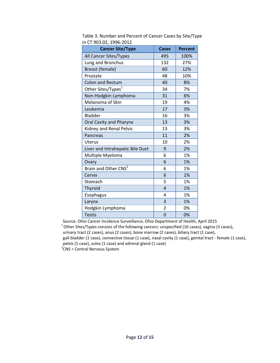| <b>Cancer Site/Type</b>          | <b>Cases</b>   | <b>Percent</b> |
|----------------------------------|----------------|----------------|
| All Cancer Sites/Types           | 495            | 100%           |
| Lung and Bronchus                | 132            | 27%            |
| Breast (female)                  | 60             | 12%            |
| Prostate                         | 48             | 10%            |
| <b>Colon and Rectum</b>          | 40             | 8%             |
| Other Sites/Types <sup>1</sup>   | 34             | 7%             |
| Non-Hodgkin Lymphoma             | 31             | 6%             |
| Melanoma of Skin                 | 19             | 4%             |
| Leukemia                         | 17             | 3%             |
| <b>Bladder</b>                   | 16             | 3%             |
| Oral Cavity and Pharynx          | 13             | 3%             |
| Kidney and Renal Pelvis          | 13             | 3%             |
| Pancreas                         | 11             | 2%             |
| Uterus                           | 10             | 2%             |
| Liver and Intrahepatic Bile Duct | 9              | 2%             |
| Multiple Myeloma                 | 6              | 1%             |
| Ovary                            | 6              | 1%             |
| Brain and Other CNS <sup>2</sup> | 6              | 1%             |
| Cervix                           | 6              | 1%             |
| Stomach                          | 5              | 1%             |
| Thyroid                          | $\overline{4}$ | 1%             |
| Esophagus                        | 4              | 1%             |
| Larynx                           | 3              | 1%             |
| Hodgkin Lymphoma                 | 2              | 0%             |
| <b>Testis</b>                    | $\overline{0}$ | 0%             |

 Table 3. Number and Percent of Cancer Cases by Site/Type in CT 903.02, 1996-2012

Source: Ohio Cancer Incidence Surveillance, Ohio Department of Health, April 2015  $1$ Other Sites/Types consists of the following cancers: unspecified (16 cases), vagina (3 cases), urinary tract (2 cases), anus (2 cases), bone marrow (2 cases), biliary tract (1 case), gall bladder (1 case), connective tissue (1 case), nasal cavity (1 case), genital tract - female (1 case), pelvis (1 case), vulva (1 case) and adrenal gland (1 case)<br><sup>2</sup>CNS = Central Nervous System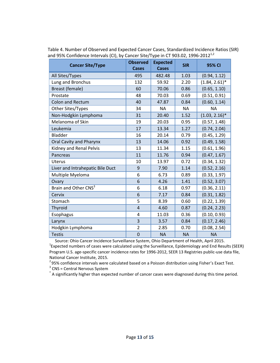| <b>Cancer Site/Type</b>          | <b>Observed</b><br>Cases | <b>Expected</b><br>Cases | <b>SIR</b> | 95% CI           |
|----------------------------------|--------------------------|--------------------------|------------|------------------|
| All Sites/Types                  | 495                      | 482.48                   | 1.03       | (0.94, 1.12)     |
| Lung and Bronchus                | 132                      | 59.92                    | 2.20       | $(1.84, 2.61)^*$ |
| Breast (female)                  | 60                       | 70.06                    | 0.86       | (0.65, 1.10)     |
| Prostate                         | 48                       | 70.03                    | 0.69       | (0.51, 0.91)     |
| <b>Colon and Rectum</b>          | 40                       | 47.87                    | 0.84       | (0.60, 1.14)     |
| Other Sites/Types                | 34                       | <b>NA</b>                | <b>NA</b>  | <b>NA</b>        |
| Non-Hodgkin Lymphoma             | 31                       | 20.40                    | 1.52       | $(1.03, 2.16)^*$ |
| Melanoma of Skin                 | 19                       | 20.03                    | 0.95       | (0.57, 1.48)     |
| Leukemia                         | 17                       | 13.34                    | 1.27       | (0.74, 2.04)     |
| <b>Bladder</b>                   | 16                       | 20.14                    | 0.79       | (0.45, 1.29)     |
| Oral Cavity and Pharynx          | 13                       | 14.06                    | 0.92       | (0.49, 1.58)     |
| Kidney and Renal Pelvis          | 13                       | 11.34                    | 1.15       | (0.61, 1.96)     |
| Pancreas                         | 11                       | 11.76                    | 0.94       | (0.47, 1.67)     |
| Uterus                           | 10                       | 13.97                    | 0.72       | (0.34, 1.32)     |
| Liver and Intrahepatic Bile Duct | 9                        | 7.90                     | 1.14       | (0.52, 2.16)     |
| Multiple Myeloma                 | 6                        | 6.73                     | 0.89       | (0.33, 1.97)     |
| Ovary                            | 6                        | 4.26                     | 1.41       | (0.52, 3.07)     |
| Brain and Other CNS <sup>3</sup> | 6                        | 6.18                     | 0.97       | (0.36, 2.11)     |
| Cervix                           | 6                        | 7.17                     | 0.84       | (0.31, 1.82)     |
| Stomach                          | 5                        | 8.39                     | 0.60       | (0.22, 1.39)     |
| Thyroid                          | $\overline{4}$           | 4.60                     | 0.87       | (0.24, 2.23)     |
| Esophagus                        | 4                        | 11.03                    | 0.36       | (0.10, 0.93)     |
| Larynx                           | 3                        | 3.57                     | 0.84       | (0.17, 2.46)     |
| Hodgkin Lymphoma                 | $\overline{2}$           | 2.85                     | 0.70       | (0.08, 2.54)     |
| <b>Testis</b>                    | $\overline{0}$           | <b>NA</b>                | <b>NA</b>  | <b>NA</b>        |

 Table 4. Number of Observed and Expected Cancer Cases, Standardized Incidence Ratios (SIR) and 95% Confidence Intervals (CI), by Cancer Site/Type in CT 903.02, 1996-2012<sup>1,2</sup>

Source: Ohio Cancer Incidence Surveillance System, Ohio Department of Health, April 2015.  $1$ Expected numbers of cases were calculated using the Surveillance, Epidemiology and End Results (SEER) Program U.S. age-specific cancer incidence rates for 1996-2012, SEER 13 Registries public-use data file, National Cancer Institute, 2015.

 $295\%$  confidence intervals were calculated based on a Poisson distribution using Fisher's Exact Test.

<sup>3</sup> CNS = Central Nervous System

\* A significantly higher than expected number of cancer cases were diagnosed during this time period.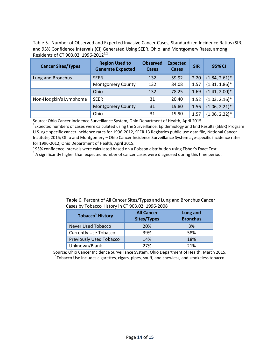Table 5. Number of Observed and Expected Invasive Cancer Cases, Standardized Incidence Ratios (SIR) and 95% Confidence Intervals (CI) Generated Using SEER, Ohio, and Montgomery Rates, among Residents of CT 903.02, 1996-2012<sup>1,2</sup>

| <b>Cancer Sites/Types</b> | <b>Region Used to</b><br><b>Generate Expected</b> | <b>Observed</b><br>Cases | <b>Expected</b><br>Cases | <b>SIR</b> | 95% CI           |
|---------------------------|---------------------------------------------------|--------------------------|--------------------------|------------|------------------|
| Lung and Bronchus         | <b>SEER</b>                                       | 132                      | 59.92                    | 2.20       | $(1.84, 2.61)^*$ |
|                           | <b>Montgomery County</b>                          | 132                      | 84.08                    | 1.57       | $(1.31, 1.86)^*$ |
|                           | Ohio                                              | 132                      | 78.25                    | 1.69       | $(1.41, 2.00)^*$ |
| Non-Hodgkin's Lymphoma    | <b>SEER</b>                                       | 31                       | 20.40                    | 1.52       | $(1.03, 2.16)^*$ |
|                           | <b>Montgomery County</b>                          | 31                       | 19.80                    | 1.56       | $(1.06, 2.21)^*$ |
|                           | Ohio                                              | 31                       | 19.90                    | 1.57       | $(1.06, 2.22)^*$ |

Source: Ohio Cancer Incidence Surveillance System, Ohio Department of Health, April 2015.

<sup>1</sup>Expected numbers of cases were calculated using the Surveillance, Epidemiology and End Results (SEER) Program U.S. age-specific cancer incidence rates for 1996-2012, SEER 13 Registries public-use data file, National Cancer Institute, 2015; Ohio and Montgomery – Ohio Cancer Incidence Surveillance System age-specific incidence rates for 1996-2012, Ohio Department of Health, April 2015.

 $295\%$  confidence intervals were calculated based on a Poisson distribution using Fisher's Exact Test.

\* A significantly higher than expected number of cancer cases were diagnosed during this time period.

| <b>Tobacco<sup>1</sup> History</b> | <b>All Cancer</b><br>Sites/Types | Lung and<br><b>Bronchus</b> |
|------------------------------------|----------------------------------|-----------------------------|
| Never Used Tobacco                 | 20%                              | 3%                          |
| <b>Currently Use Tobacco</b>       | 39%                              | 58%                         |
| Previously Used Tobacco            | 14%                              | 18%                         |
| Unknown/Blank                      | 27%                              | 21%                         |

 Table 6. Percent of All Cancer Sites/Types and Lung and Bronchus Cancer Cases by Tobacco History in CT 903.02, 1996-2008

Source: Ohio Cancer Incidence Surveillance System, Ohio Department of Health, March 2015. <sup>1</sup>Tobacco Use includes cigarettes, cigars, pipes, snuff, and chewless, and smokeless tobacco